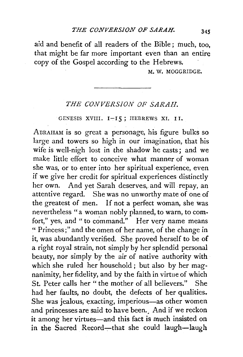aid and benefit of all readers of the Bible ; much, too, that might be far more important even than an entire copy of the Gospel according to the Hebrews,

M. W. MOGGRIDGE.

## *THE CONVERSION OF SARAH.*

GENESIS XVIII. I-I5; HEBREWS XI. II.

ADRAHAM is so great a personage, his figure bulks so large and towers so high in our imagination, that his wife is well-nigh lost in the shadow he casts; and we make little effort to conceive what manner of woman she was, or to enter into her spiritual experience, even if we give her credit for spiritual experiences distinctly her own. And yet Sarah deserves, and will repay, an attentive regard. She was no unworthy mate of one of the greatest of men. If not a perfect woman, she was nevertheless "a woman nobly planned, to warn, to comfort," yes, and " to command." Her very name means " Princess;" and the omen of her name, of the change in it, was abundantly verified. She proved herself to be of a right royal strain, not simply by her splendid personal beauty, nor simply by the air of native authority with which she ruled her household; but also by her magnanimity, her fidelity, and by the faith in virtue of which St. Peter calls her " the mother of all believers." She had her faults, no doubt, the defects of her qualities. She was jealous, exacting, imperious-as other women and princesses are said to have been. And if we reckon it among her virtues-and this fact is much insisted on in the Sacred Record-that she could laugh-laugh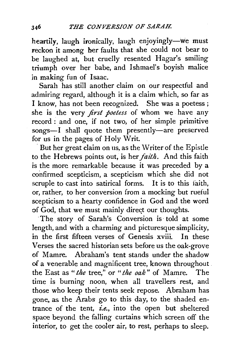heartily, laugh ironically, laugh enjoyingly-we must reckon it among her faults that she could not bear to be laughed at, but cruelly resented Hagar's smiling triumph over her babe, and Ishmael's boyish malice jn making fun of lsaac.

Sarah has still another claim on our respectful and admiring regard, although it is a claim which, so far as I know, has not been recognized. She was a poetess ; she is the very *first poetess* of whom we have any record : and one, if not two, of her simple primitive songs-I shall quote them presently-are preserved for us in the pages of Holy Writ.

But her great claim on us, as the Writer of the Epistle to the Hebrews points out, is her *faith.* And this faith is the more remarkable because it was preceded by a confirmed scepticism, a scepticism which she did not scruple to cast into satirical forms. It is to this iaith, or, rather, to her conversion from a mocking but rueful scepticism to a hearty confidence in God and the word of God, that we must mainly direct our thoughts.

·The story of Sarah's Conversion is· told at some length, and with a charming and picturesque simplicity, in the first fifteen verses of Genesis xviii. In these Verses the sacred historian sets before us the oak-grove of Mamre. Abraham's tent stands under the shadow of a venerable and magnificent tree, known throughout the East as *"the* tree," or *"the oak"* of Mamre. The time is burning noon, when all travellers rest, and those who keep their tents seek repose. Abraham has gone. as the Arabs go to this day, to the shaded entrance of the tent, *i.e.,* into the open but sheltered space beyond the falling curtains which screen off the interior, to get the cooler air, to rest, perhaps to sleep.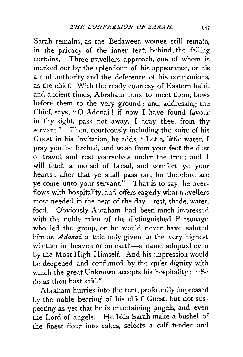Sarah remains, as the Bedaween women still remain, in the privacy of the inner tent, behind. the falling curtains. Three travellers approach, one of whom is marked out by the splendour of his appearance, or his air of authority and the deference of his companions, as the chief. With the ready courtesy of Eastern habit and ancient times, Abraham runs to meet them, bows before them to the very ground; and, addressing the Chief, says, '' 0 Adonai! if now I have found favour in thy sight, pass not away, I pray thee, from thy servant." Then, courteously including the suite of his Guest in his invitation, he adds, " Let a. little water, I pray you, be fetched, and wash from your feet the dust of travel, and rest yourselves under the tree; and I will fetch a morsel of bread, and comfort ye your hearts : after that ye shall pass on ; for therefore are ye come unto your servant." That is to say, he overflows with hospitality, and offers eagerly what travellers most needed in the heat of the day-rest, shade, water, food. Obviously Abraham had been much impressed with the noble mien of the distinguished Personage who led the group, or he would never have saluted him as *Adonai,* a title only given to the very highest whether in heaven or on earth-a name adopted even by the Most High Himself. And his impression would be deepened and confirmed by the quiet dignity with which the great Unknown accepts his hospitality : "Sc do as thou hast said."

Abraham hurries into the tent, profoundly impressed by the noble bearing of his chief Guest, but not suspecting as yet that he is entertaining angels, and even the Lord of angels. He bids Sarah make a bushel of the finest flour into cakes, selects a calf tender and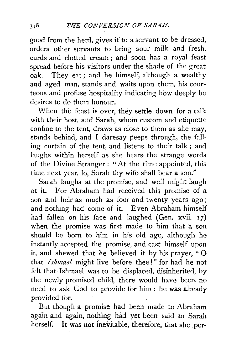good from the herd, gives it to a servant to be dressed, orders other servants to bring sour milk and fresh, curds and clotted cream ; and soon has a royal feast spread before his visitors under the shade of the great oak. They eat ; and he himself, although a wealthy and aged man, stands and waits upon them, his courteous and profuse hospitality indicating how deeply he desires to do them honour.

When the feast is over, they settle down for a talk with their host, and Sarah, whom custom and etiquette confine to the tent, draws as close to them as she may, stands behind, and I daresay peeps through, the falling curtain of the tent, and listens to their talk ; and laughs within herself as she hears the strange words of the Divine Stranger : "At the tfme appointed, this time next year, lo, Sarah thy wife shall bear a son."

Sarah laughs at the promise, and well might laugh at it. For Abraham had received this promise of a son and heir as much as four and twenty years ago; and nothing had come of it. Even Abraham himself had fallen on his face and laughed (Gen. xvii.  $17$ ) when the promise was first made to him that a son should be born to him in his old age, although he instantly accepted the promise, and cast himself upon it, and shewed that he believed it by his prayer, " 0 that *Ishmael* might live before thee!" for had he not felt that lshmael was to be displaced, disinherited, by the newly promised child, there would have been no need to ask God to provide for him : he was already provided for.

But though a promise had been made to Abraham again and again, nothing had yet been said to Sarah herself. It was not inevitable, therefore, that she per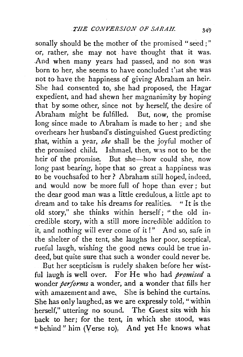sonally should be the mother of the promised "seed ; " or, rather, she may not have thought that it was. .And when many years had passed, and no son was born to her, she seems to have concluded that she was not *to* have the happiness of giving Abraham an heir. She had consented to, she had proposed, the Hagar expedient, and had shewn her magnanimity by hoping that by some other, since not by herself, the desire of Abraham might be fulfilled. But, now, the promise long since made to Abraham is made to her; and she overhears her husband's distinguished Guest predicting that, within a year, *she* shall be the joyful mother of the promised child. Ishmael, then, was not to be the heir of the promise. But she-how could she, now long past bearing, hope that so great a happiness was to be vouchsafed to her? Abraham still hoped, indeed, and would now be more full of hope than ever ; but the dear good man was a little credulous, a little apt to dream and to take his dreams for realities. "It is the old story," she thinks within herself; ''the old incredible story, with a still more incredible' addition to it, and nothing will ever come of it!" And so, safe in the shelter of the tent, she laughs her poor, sceptical, rueful laugh, wishing the good news could be true indeed, but quite sure that such a wonder could never be.

But her scepticism is rudely shaken before her wistful laugh is well over. For He who had *promised* a wonder *performs* a wonder, and a wonder that fills her with amazement and awe. She is behind the curtains. She has only laughed, as we are expressly told," within ·herself," uttering no sound. The Guest sits with his back to her; for the tent, in which she stood, was ''behind" him (Verse 10): And yet He knows what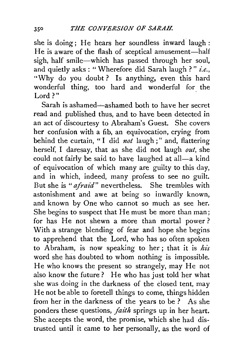she is doing; He hears her soundless inward laugh: He is aware of the flash of sceptical amusement-half sigh, half smile-which has passed through her soul, and quietly asks : "Wherefore did Sarah laugh ? " *i.e.,*  "Why do you doubt? Is anything, even this hard wonderful thing, too hard and wonderful for the Lord?"

Sarah is ashamed- $-$ ashamed both to have her secret read and published thus, and to have been detected in an act of discourtesy to Abraham's Guest. She covers her confusion with a fib, an equivocation, crying from behind the curtain, " I did *not* laugh ; " and, flattering herself, I daresay, that as she did not laugh *out,* she could not fairly be said to have laughed at all-a kind of equivocation of which many are guilty to this day, and in which, indeed, many profess to see no guilt. But she is *"afraid"* nevertheless. She trembles with astonishment and awe at being so inwardly known, and known by One who cannot so much as see her. She begins to suspect that He must be *more* than man; for has He not shewn a more than mortal power ? With a strange blending of fear and hope she begins to apprehend that the Lord, who has so often spoken to Abraham, is now speaking to her; that it is his word she has doubted to whom nothing is impossible. He who knows the present so strangely, may He not also know the future? He who has just told her what she was doing in the darkness of the closed tent, may He not be able to foretell things to come, things hidden from her in the darkness of the years to be ? As she ponders these questions, *faith* springs up in her heart. She accepts the word, the promise, which she had distrusted until it came to her personally, as the word of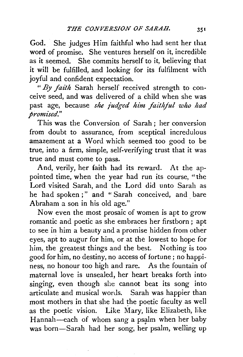God. She judges Him faithful who had sent her that word of promise. She ventures herself on it, incredible as it seemed. She commits herself to it, believing that it will be fulfilled, and looking for its fulfilment with joyful and confident expectation.

*"By faith* Sarah herself received strength to conceive seed, and was delivered of a child when she was past age, because *she judged him faithful who had promised."* ·

This was the Conversion of Sarah ; her conversion from doubt to assurance, from sceptical incredulous amazement at a Word which seemed too good to be true, into a firm, simple, self-verifying trust that it was true and must come to pass.

And, verily, her faith had its reward. At the appointed time, when the year had run its course, "the Lord visited Sarah, and the Lord did unto Sarah as he had spoken ;" and "Sarah conceived, and bare Abraham a son in his old age."

Now even the most prosaic of women is apt to grow romantic and poetic as she embraces her firstborn ; apt to see in him a beauty and a promise hidden from other eyes, apt to augur for him, or at the lowest to hope for him, the greatest things and the best. Nothing is too good for him, no destiny, no access of fortune ; no happiness, no honour too high and rare. As the fountain of maternal love is unsealed, her heart breaks forth into singing, even though she cannot beat its song into articulate and musical words. Sarah was happier than most mothers in that she had the poetic faculty as well as the poetic vision. Like Mary, like Elizabeth, like Hannah-each of whom sang a psalm when her baby was born-Sarah had her song, her psalm, welling up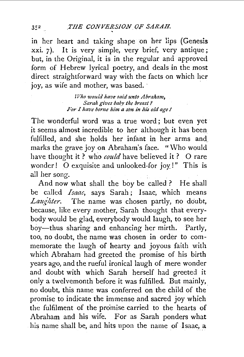in her heart and taking shape on her lips (Genesis xxi. 7). It is very simple, very brief, very antique; but, in the Original, it is in the regular and approved form of Hebrew lyrical poetry, and deals in the most direct straightforward way with the facts on which her joy, as wife and mother, was based.

> *TVho would have said unto Abraham, Sarah gives baby the breast? For I have bome him a son in his old age* I

The wonderful word was a true word; but even yet it seems almost incredible to her although it has been fulfilled, and she holds her infant in her arms and marks the grave joy on Abraham's face. "Who would have thought it? who *could* have believed it? O rare wonder! 0 exquisite and unlooked-for joy:!" This is all her song.

And now what shall the boy be called ? He shall be called *Isaac,* says Sarah; Isaac, which means *Laugltter.* The name was chosen partly, no doubt, because, like every mother, Sarah thought that everybody would be glad, everybody would laugh, to see her boy-thus sharing and enhancing her mirth. Partly, too, no doubt, the name was chosen in order to commemorate the laugh of hearty and joyous faith with which Abraham had greeted the promise of his birth years ago, and the rueful ironical laugh of mere wonder and doubt with which Sarah herself had greeted it only a twelvemonth before it was fulfilled. But mainly, no doubt, this name was conferred on the child of the promise to indicate the immense and sacred joy which the fulfilment of the promise carried to the hearts of Abraham and his wife. For as Sarah ponders what his name shall be, and hits upon the name of Isaac, a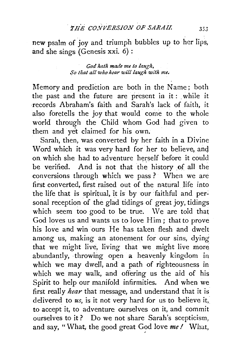new psalm of joy and triumph bubbles up to her lips, and she sings (Genesis xxi. 6) :

> God hath made me to laugh, So that all who hear will laugh with me.

Memory and prediction are both in the Name; both the past and the future are present in it: while it records Abraham's faith and Sarah's lack of faith, it also foretells the joy that would come to the whole world through the Child whom God had given to them and yet claimed for his own.

Sarah, then, was converted by her faith in a Divine Word which it was very hard for her to believe, and on which she had to adventure herself before it could be verified. And is not that the history of all the conversions through which we pass ? When we are first converted, first raised out of the natural life into the life that is spiritual, it is by our faithful and personal reception of the glad tidings of great joy, tidings which seem too good to be true. We are told that God loves us and wants us to love Him ; that to prove his love and win ours He has taken flesh and dwelt among us, making an atonement for our sins, dying that we might live, living that we might live more abundantly, throwing open a heavenly kingdom in which we may dwell, and a path of righteousness in which we may walk, and offering us the aid of his Spirit to help our manifold infirmities. And when we first really *hear* that message, and understand that it is delivered to *us,* is it not very hard for us to believe it, to accept it, to adventure ourselves on it, and commit ourselves to it? Do we not share Sarah's scepticism, and say, "What, the good great God love *me!* What,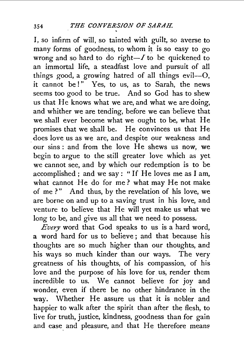I, so infirm of will, so tainted with guilt, so averse to many forms of goodness, to whom it is so easy to go wrong and so hard to do right $-I$  to be quickened to an immortal life, a steadfast love and pursuit of all things good, a growing hatred of all things evil--0, it cannot be!" Yes, to us, as to Sarah, the news seems too good to be true. And so God has to shew us that He knows what we are, and what we are doing, and whither we are tending, before we can believe that we shall ever become what we ought to be, what He promises that we shall be. He convinces us that He does love us as we are, and despite our weakness and our sins : and from the love He shews us now, we begin to argue to the still greater love which as yet. we cannot see, and by which our redemption is to be accomplished ; and we say : " If He loves me as I am, what cannot He do for me? what may He not make of me?" And thus, by the revelation of his love, we are borne on and up to a saving trust in his love, and venture to believe that He will yet make us what we long to be, and give us all that we need to possess.

*Every* word that God speaks to us is a hard word, a word hard for us to believe ; and that because his thoughts are so much higher than our thoughts, and his ways so much kinder than our ways. The very greatness of his thoughts, of his compassion, of his love and the purpose of his love for us, render them incredible to us. We cannot believe for joy and wonder, even if there be no other hindrance in the way. Whether He. assure us that it is nobler and happier to walk after the spirit than after the flesh, to live for truth, justice, kindness, goodness than for gain and ease and pleasure, and that He therefore means